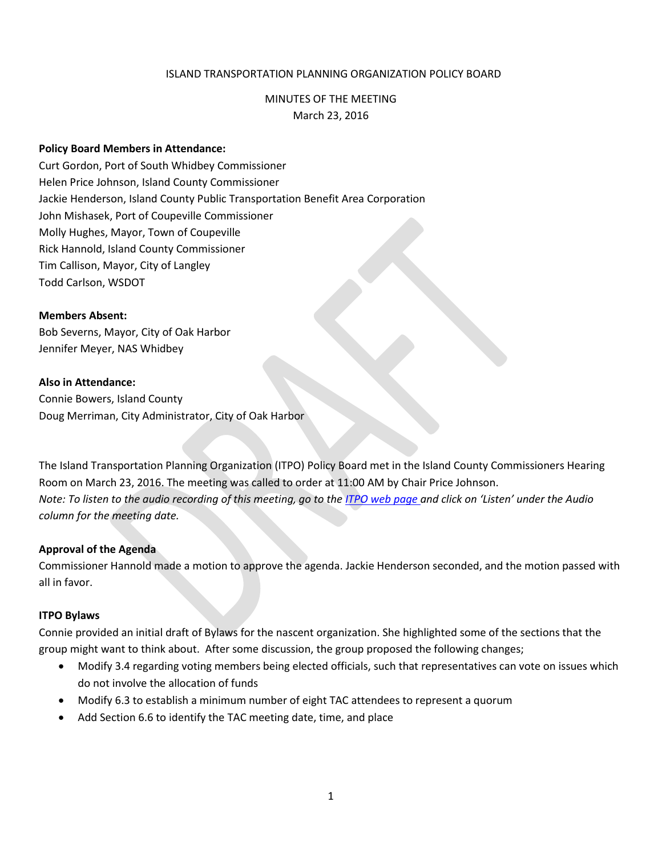# ISLAND TRANSPORTATION PLANNING ORGANIZATION POLICY BOARD

# MINUTES OF THE MEETING

March 23, 2016

#### **Policy Board Members in Attendance:**

Curt Gordon, Port of South Whidbey Commissioner Helen Price Johnson, Island County Commissioner Jackie Henderson, Island County Public Transportation Benefit Area Corporation John Mishasek, Port of Coupeville Commissioner Molly Hughes, Mayor, Town of Coupeville Rick Hannold, Island County Commissioner Tim Callison, Mayor, City of Langley Todd Carlson, WSDOT

#### **Members Absent:**

Bob Severns, Mayor, City of Oak Harbor Jennifer Meyer, NAS Whidbey

## **Also in Attendance:**

Connie Bowers, Island County Doug Merriman, City Administrator, City of Oak Harbor

The Island Transportation Planning Organization (ITPO) Policy Board met in the Island County Commissioners Hearing Room on March 23, 2016. The meeting was called to order at 11:00 AM by Chair Price Johnson. *Note: To listen to the audio recording of this meeting, go to the ITPO [web page](https://www.islandcountywa.gov/PublicWorks/Roads/Planning/Pages/Itpominutesandagendas.aspx) and click on 'Listen' under the Audio column for the meeting date.*

## **Approval of the Agenda**

Commissioner Hannold made a motion to approve the agenda. Jackie Henderson seconded, and the motion passed with all in favor.

## **ITPO Bylaws**

Connie provided an initial draft of Bylaws for the nascent organization. She highlighted some of the sections that the group might want to think about. After some discussion, the group proposed the following changes;

- Modify 3.4 regarding voting members being elected officials, such that representatives can vote on issues which do not involve the allocation of funds
- Modify 6.3 to establish a minimum number of eight TAC attendees to represent a quorum
- Add Section 6.6 to identify the TAC meeting date, time, and place